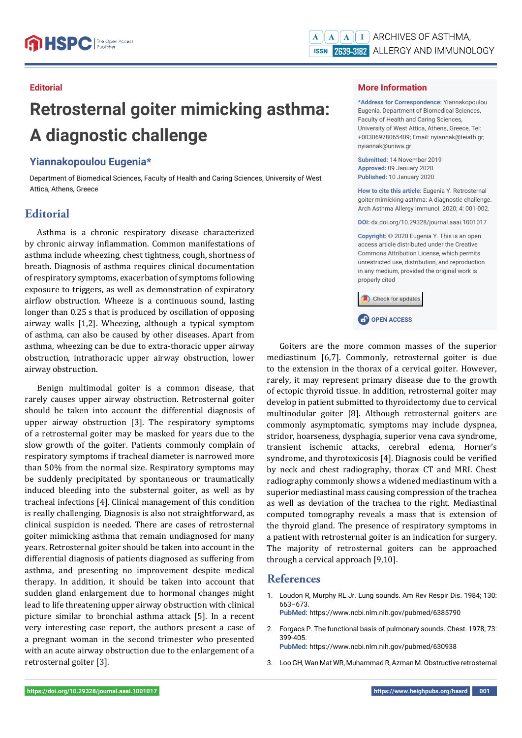#### **Editorial**

# **Retrosternal goiter mimicking asthma: A diagnostic challenge**

## **Yiannakopoulou Eugenia\***

Department of Biomedical Sciences, Faculty of Health and Caring Sciences, University of West Attica, Athens, Greece

# **Editorial**

Asthma is a chronic respiratory disease characterized by chronic airway inflammation. Common manifestations of asthma include wheezing, chest tightness, cough, shortness of breath. Diagnosis of asthma requires clinical documentation of respiratory symptoms, exacerbation of symptoms following exposure to triggers, as well as demonstration of expiratory airflow obstruction. Wheeze is a continuous sound, lasting longer than 0.25 s that is produced by oscillation of opposing airway walls [1,2]. Wheezing, although a typical symptom of asthma, can also be caused by other diseases. Apart from asthma, wheezing can be due to extra-thoracic upper airway obstruction, intrathoracic upper airway obstruction, lower airway obstruction.

Benign multimodal goiter is a common disease, that rarely causes upper airway obstruction. Retrosternal goiter should be taken into account the differential diagnosis of upper airway obstruction [3]. The respiratory symptoms of a retrosternal goiter may be masked for years due to the slow growth of the goiter. Patients commonly complain of respiratory symptoms if tracheal diameter is narrowed more than 50% from the normal size. Respiratory symptoms may be suddenly precipitated by spontaneous or traumatically induced bleeding into the substernal goiter, as well as by tracheal infections [4]. Clinical management of this condition is really challenging. Diagnosis is also not straightforward, as clinical suspicion is needed. There are cases of retrosternal goiter mimicking asthma that remain undiagnosed for many years. Retrosternal goiter should be taken into account in the differential diagnosis of patients diagnosed as suffering from asthma, and presenting no improvement despite medical therapy. In addition, it should be taken into account that sudden gland enlargement due to hormonal changes might lead to life threatening upper airway obstruction with clinical picture similar to bronchial asthma attack [5]. In a recent very interesting case report, the authors present a case of a pregnant woman in the second trimester who presented with an acute airway obstruction due to the enlargement of a retrosternal goiter [3].

### **More Information**

**\*Address for Correspondence:** Yiannakopoulou Eugenia, Department of Biomedical Sciences, Faculty of Health and Caring Sciences, University of West Attica, Athens, Greece, Tel: +00306978065409; Email: nyiannak@teiath.gr; nyiannak@uniwa.gr

**Submitted:** 14 November 2019 **Approved:** 09 January 2020 **Published:** 10 January 2020

**How to cite this article:** Eugenia Y. Retrosternal goiter mimicking asthma: A diagnostic challenge. Arch Asthma Allergy Immunol. 2020; 4: 001-002.

**DOI:** dx.doi.org/10.29328/journal.aaai.1001017

**Copyright: ©** 2020 Eugenia Y. This is an open access article distributed under the Creative Commons Attribution License, which permits unrestricted use, distribution, and reproduction in any medium, provided the original work is properly cited

Check for updates

**CP** OPEN ACCESS

Goiters are the more common masses of the superior mediastinum [6,7]. Commonly, retrosternal goiter is due to the extension in the thorax of a cervical goiter. However, rarely, it may represent primary disease due to the growth of ectopic thyroid tissue. In addition, retrosternal goiter may develop in patient submitted to thyroidectomy due to cervical multinodular goiter [8]. Although retrosternal goiters are commonly asymptomatic, symptoms may include dyspnea, stridor, hoarseness, dysphagia, superior vena cava syndrome, transient ischemic attacks, cerebral edema, Horner's syndrome, and thyrotoxicosis [4]. Diagnosis could be verified by neck and chest radiography, thorax CT and MRI. Chest radiography commonly shows a widened mediastinum with a superior mediastinal mass causing compression of the trachea as well as deviation of the trachea to the right. Mediastinal computed tomography reveals a mass that is extension of the thyroid gland. The presence of respiratory symptoms in a patient with retrosternal goiter is an indication for surgery. The majority of retrosternal goiters can be approached through a cervical approach [9,10].

## **References**

1. Loudon R, Murphy RL Jr. Lung sounds. Am Rev Respir Dis. 1984; 130: 663–673.

**PubMed:** https://www.ncbi.nlm.nih.gov/pubmed/6385790

2. Forgacs P. The functional basis of pulmonary sounds. Chest. 1978; 73: 399-405.

**PubMed:** https://www.ncbi.nlm.nih.gov/pubmed/630938

3. Loo GH, Wan Mat WR, Muhammad R, Azman M. Obstructive retrosternal